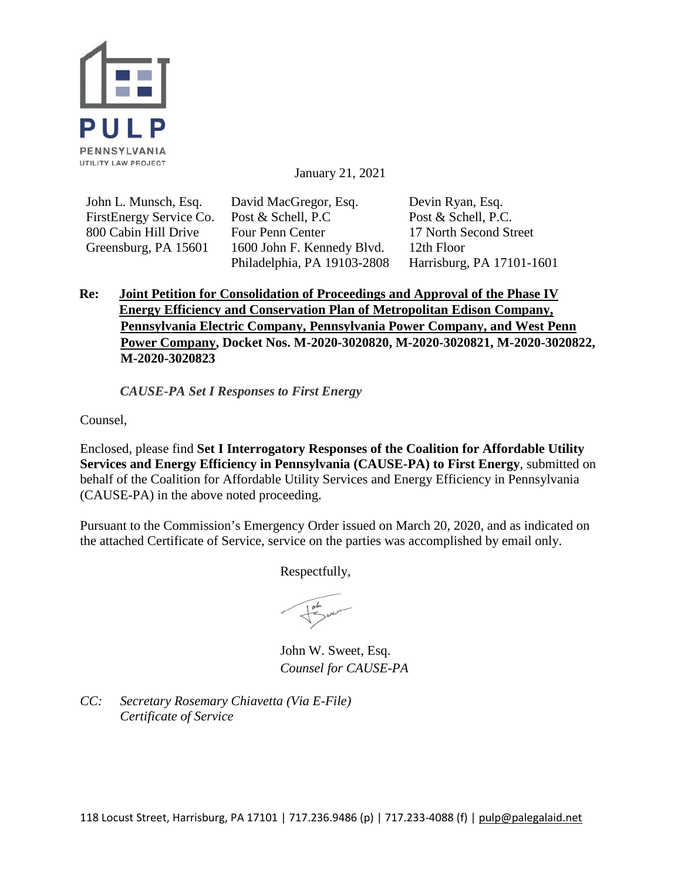

January 21, 2021

John L. Munsch, Esq. FirstEnergy Service Co. 800 Cabin Hill Drive Greensburg, PA 15601

David MacGregor, Esq. Post & Schell, P.C Four Penn Center 1600 John F. Kennedy Blvd. Philadelphia, PA 19103-2808 Devin Ryan, Esq. Post & Schell, P.C. 17 North Second Street 12th Floor Harrisburg, PA 17101-1601

## **Re: Joint Petition for Consolidation of Proceedings and Approval of the Phase IV Energy Efficiency and Conservation Plan of Metropolitan Edison Company, Pennsylvania Electric Company, Pennsylvania Power Company, and West Penn Power Company, Docket Nos. M-2020-3020820, M-2020-3020821, M-2020-3020822, M-2020-3020823**

*CAUSE-PA Set I Responses to First Energy*

Counsel,

Enclosed, please find **Set I Interrogatory Responses of the Coalition for Affordable Utility Services and Energy Efficiency in Pennsylvania (CAUSE-PA) to First Energy**, submitted on behalf of the Coalition for Affordable Utility Services and Energy Efficiency in Pennsylvania (CAUSE-PA) in the above noted proceeding.

Pursuant to the Commission's Emergency Order issued on March 20, 2020, and as indicated on the attached Certificate of Service, service on the parties was accomplished by email only.

Respectfully,

John W. Sweet, Esq. *Counsel for CAUSE-PA*

*CC: Secretary Rosemary Chiavetta (Via E-File) Certificate of Service*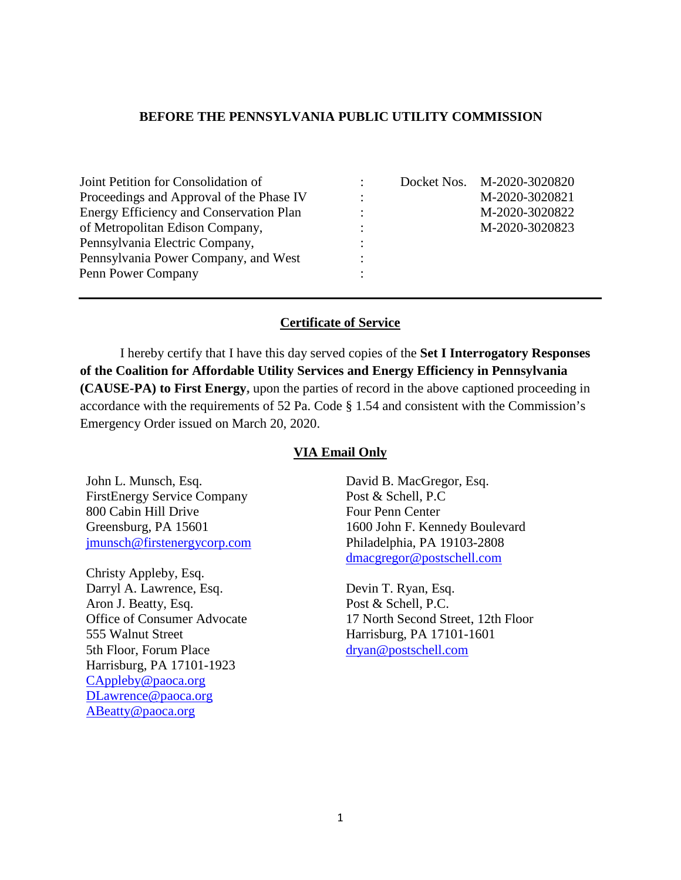## **BEFORE THE PENNSYLVANIA PUBLIC UTILITY COMMISSION**

| Joint Petition for Consolidation of            |           | Docket Nos. M-2020-3020820 |
|------------------------------------------------|-----------|----------------------------|
| Proceedings and Approval of the Phase IV       |           | M-2020-3020821             |
| <b>Energy Efficiency and Conservation Plan</b> |           | M-2020-3020822             |
| of Metropolitan Edison Company,                | $\bullet$ | M-2020-3020823             |
| Pennsylvania Electric Company,                 |           |                            |
| Pennsylvania Power Company, and West           |           |                            |
| Penn Power Company                             |           |                            |

## **Certificate of Service**

I hereby certify that I have this day served copies of the **Set I Interrogatory Responses of the Coalition for Affordable Utility Services and Energy Efficiency in Pennsylvania (CAUSE-PA) to First Energy,** upon the parties of record in the above captioned proceeding in accordance with the requirements of 52 Pa. Code § 1.54 and consistent with the Commission's Emergency Order issued on March 20, 2020.

## **VIA Email Only**

John L. Munsch, Esq. FirstEnergy Service Company 800 Cabin Hill Drive Greensburg, PA 15601 [jmunsch@firstenergycorp.com](mailto:jmunsch@firstenergycorp.com)

Christy Appleby, Esq. Darryl A. Lawrence, Esq. Aron J. Beatty, Esq. Office of Consumer Advocate 555 Walnut Street 5th Floor, Forum Place Harrisburg, PA 17101-1923 [CAppleby@paoca.org](mailto:CAppleby@paoca.org) [DLawrence@paoca.org](mailto:DLawrence@paoca.org) [ABeatty@paoca.org](mailto:ABeatty@paoca.org)

David B. MacGregor, Esq. Post & Schell, P.C Four Penn Center 1600 John F. Kennedy Boulevard Philadelphia, PA 19103-2808 [dmacgregor@postschell.com](mailto:dmacgregor@postschell.com)

Devin T. Ryan, Esq. Post & Schell, P.C. 17 North Second Street, 12th Floor Harrisburg, PA 17101-1601 [dryan@postschell.com](mailto:dryan@postschell.com)